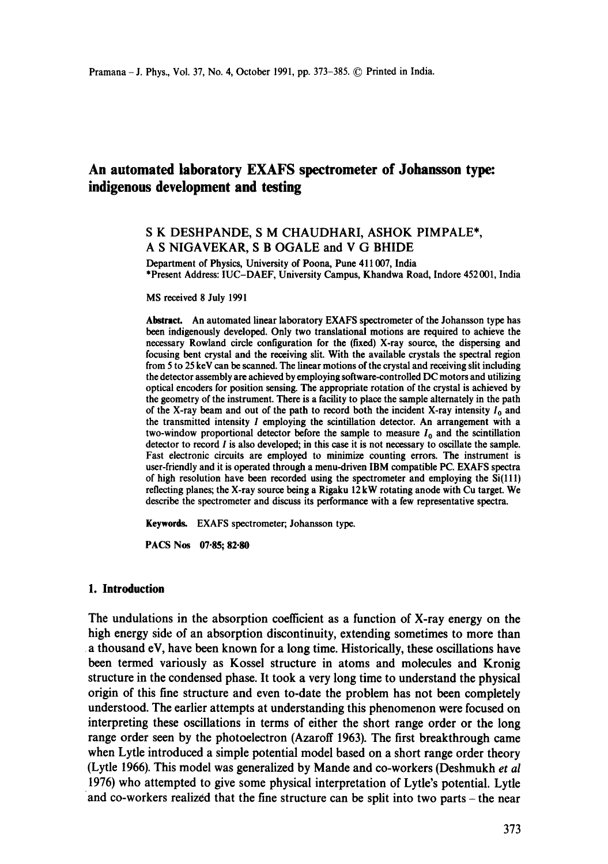# **An automated laboratory EXAFS spectrometer of Johansson type: indigenous development and testing**

## **S K DESHPANDE, S M CHAUDHARI, ASHOK PIMPALE\*,**  A S NIGAVEKAR, S B OGALE and V G BHIDE

Department of Physics, University of Poona, Pune 411007, India \*Present Address: IUC-DAEF, University Campus, Khandwa Road, Indore 452 001, India

MS received 8 July 1991

Abstract. An automated linear laboratory EXAFS spectrometer of the Johansson type has been indigenously developed. Only two translational motions are required to achieve the necessary Rowland circle configuration for the (fixed) X-ray source, the dispersing and focusing bent crystal and the receiving slit. With the available crystals the spectral region from 5 to 25 key can be scanned. The linear motions of the crystal and receiving slit including the detector assembly are achieved by employing software-controlled DC motors and utilizing optical encoders for position sensing. The appropriate rotation of the crystal is achieved by the geometry of the instrument. There is a facility to place the sample alternately in the path of the X-ray beam and out of the path to record both the incident X-ray intensity  $I_0$  and the transmitted intensity I employing the scintillation detector. An arrangement with a two-window proportional detector before the sample to measure  $I_0$  and the scintillation detector to record I is also developed; in this case it is not necessary to oscillate the sample. Fast electronic circuits are employed to minimize counting errors. The instrument is user-friendly and it is operated through a menu-driven IBM compatible PC. EXAFS spectra of high resolution have been recorded using the spectrometer and employing the Si(111) reflecting planes; the X-ray source being a Rigaku 12kW rotating anode with Cu target. We describe the spectrometer and discuss its performance with a few representative spectra.

**Keywords. EXAFS** spectrometer; Johansson type.

**PACS Nos 07-85; 82.80** 

#### **1. Introduction**

The undulations in the absorption coefficient as a function of X-ray energy on the high energy side of an absorption discontinuity, extending sometimes to more than a thousand eV, have been known for a long time. Historically, these oscillations have been termed variously as Kossel structure in atoms and molecules and Kronig structure in the condensed phase. It took a very long time to understand the physical origin of this fine structure and even to-date the problem has not been completely understood. The earlier attempts at understanding this phenomenon were focused on interpreting these oscillations in terms of either the short range order or the long range order seen by the photoelectron (Azaroff 1963). The first breakthrough came when Lytle introduced a simple potential model based on a short range order theory (Lytle 1966). This model was generalized by Mande and co-workers (Deshmukh *et al*  1976) who attempted to give some physical interpretation of Lytle's potential. Lytle and co-workers realized that the fine structure can be split into two parts – the near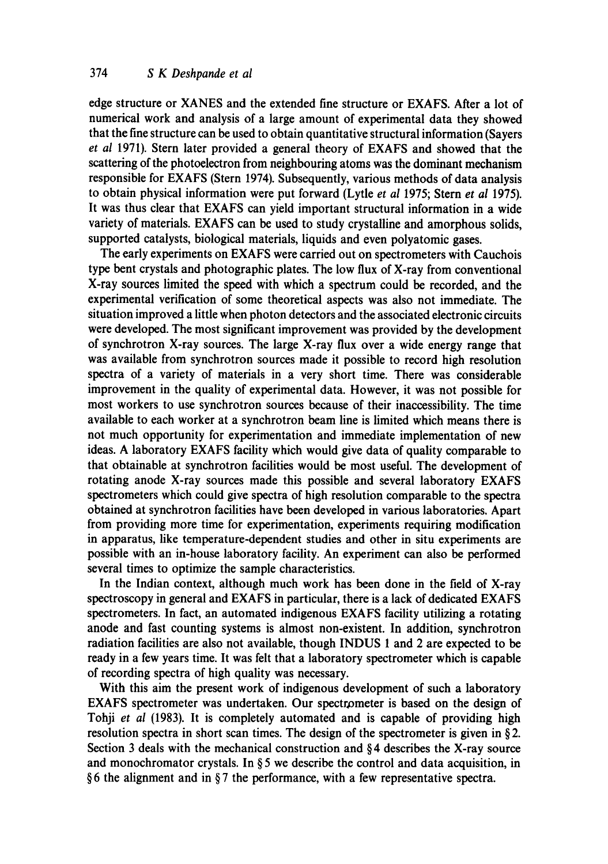edge structure or XANES and the extended fine structure or EXAFS. After a lot of numerical work and analysis of a large amount of experimental data they showed that the fine structure can be used to obtain quantitative structural information (Sayers *et al* 1971). Stern later provided a general theory of EXAFS and showed that the scattering of the photoelectron from neighbouring atoms was the dominant mechanism responsible for EXAFS (Stern 1974). Subsequently, various methods of data analysis to obtain physical information were put forward (Lytle *et al* 1975; Stern *et al* 1975). It was thus clear that EXAFS can yield important structural information in a wide variety of materials. EXAFS can be used to study crystalline and amorphous solids, supported catalysts, biological materials, liquids and even polyatomic gases.

The early experiments on EXAFS were carried out on spectrometers with Cauchois type bent crystals and photographic plates. The low flux of X-ray from conventional X-ray sources limited the speed with which a spectrum could be recorded, and the experimental verification of some theoretical aspects was also not immediate. The situation improved a little when photon detectors and the associated electronic circuits were developed. The most significant improvement was provided by the development of synchrotron X-ray sources. The large X-ray flux over a wide energy range that was available from synchrotron sources made it possible to record high resolution spectra of a variety of materials in a very short time. There was considerable improvement in the quality of experimental data. However, it was not possible for most workers to use synchrotron sources because of their inaccessibility. The time available to each worker at a synchrotron beam line is limited which means there is not much opportunity for experimentation and immediate implementation of new ideas. A laboratory EXAFS facility which would give data of quality comparable to that obtainable at synchrotron facilities would be most useful. The development of rotating anode X-ray sources made this possible and several laboratory EXAFS spectrometers which could give spectra of high resolution comparable to the spectra obtained at synchrotron facilities have been developed in various laboratories. Apart from providing more time for experimentation, experiments requiring modification in apparatus, like temperature-dependent studies and other in situ experiments are possible with an in-house laboratory facility. An experiment can also be performed several times to optimize the sample characteristics.

In the Indian context, although much work has been done in the field of X-ray spectroscopy in general and EXAFS in particular, there is a lack of dedicated EXAFS spectrometers. In fact, an automated indigenous EXAFS facility utilizing a rotating anode and fast counting systems is almost non-existent. In addition, synchrotron radiation facilities are also not available, though INDUS 1 and 2 are expected to be ready in a few years time. It was felt that a laboratory spectrometer which is capable of recording spectra of high quality was necessary.

With this aim the present work of indigenous development of such a laboratory EXAFS spectrometer was undertaken. Our spectrometer is based on the design of Tohji *et al* (1983). It is completely automated and is capable of providing high resolution spectra in short scan times. The design of the spectrometer is given in § 2. Section 3 deals with the mechanical construction and § 4 describes the X-ray source and monochromator crystals. In  $\S 5$  we describe the control and data acquisition, in § 6 the alignment and in § 7 the performance, with a few representative spectra.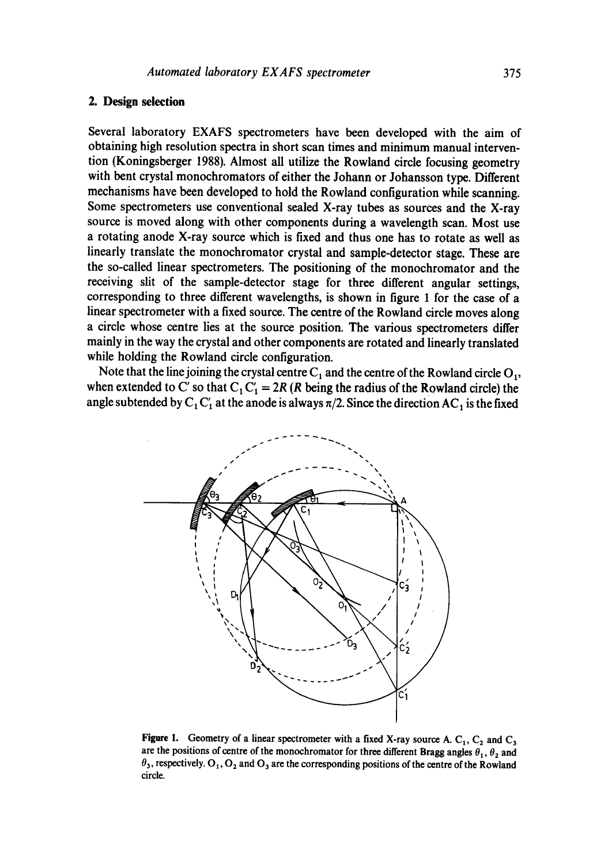## 2. Design selection

Several laboratory EXAFS spectrometers have been developed with the aim of obtaining high resolution spectra in short scan times and minimum manual intervention (Koningsberger 1988). Almost all utilize the Rowland circle focusing geometry with bent crystal monochromators of either the Johann or Johansson type. Different mechanisms have been developed to hold the Rowland configuration while scanning. Some spectrometers use conventional sealed X-ray tubes as sources and the X-ray source is moved along with other components during a wavelength scan. Most use a rotating anode X-ray source which is fixed and thus one has to rotate as well as linearly translate the monochromator crystal and sample-detector stage. These are the so-called linear spectrometers. The positioning of the monochromator and the receiving slit of the sample-detector stage for three different angular settings, corresponding to three different wavelengths, is shown in figure 1 for the case of a linear spectrometer with a fixed source. The centre of the Rowland circle moves along a circle whose centre lies at the source position. The various spectrometers differ mainly in the way the crystal and other components are rotated and linearly translated while holding the Rowland circle configuration.

Note that the line joining the crystal centre  $C_1$  and the centre of the Rowland circle  $O_1$ , when extended to C' so that  $C_1C_1' = 2R$  (R being the radius of the Rowland circle) the angle subtended by  $C_1 C_1'$  at the anode is always  $\pi/2$ . Since the direction AC, is the fixed



Figure 1. Geometry of a linear spectrometer with a fixed X-ray source A.  $C_1$ ,  $C_2$  and  $C_3$ are the positions of centre of the monochromator for three different Bragg angles  $\theta_1$ ,  $\theta_2$  and  $\theta_3$ , respectively.  $O_1$ ,  $O_2$  and  $O_3$  are the corresponding positions of the centre of the Rowland circle.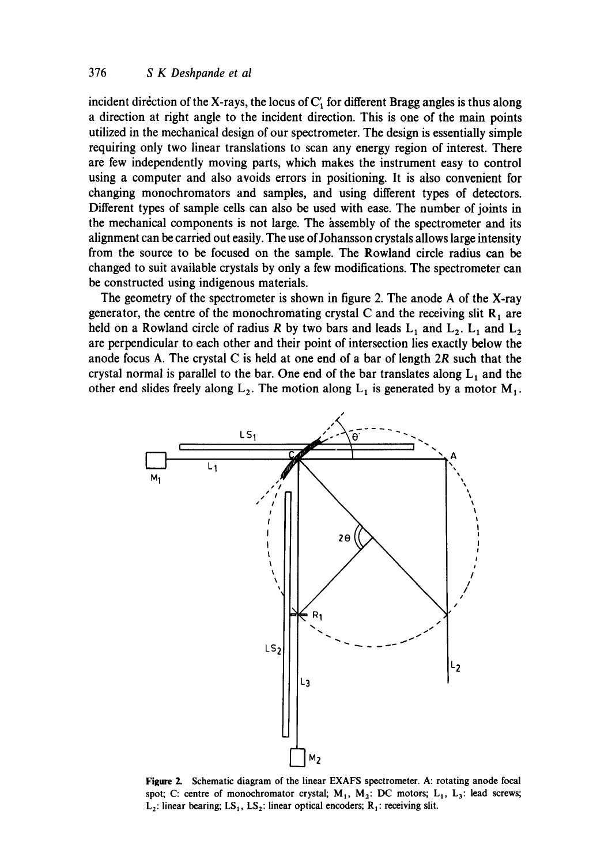## 376 *S K Deshpande et al*

incident direction of the X-rays, the locus of  $C<sub>1</sub>$  for different Bragg angles is thus along a direction at right angle to the incident direction. This is one of the main points utilized in the mechanical design of our spectrometer. The design is essentially simple requiring only two linear translations to scan any energy region of interest. There are few independently moving parts, which makes the instrument easy to control using a computer and also avoids errors in positioning. It is also convenient for changing monochromators and samples, and using different types of detectors. Different types of sample cells can also be used with ease. The number of joints in the mechanical components is not large. The assembly of the spectrometer and its alignment can be carried out easily. The use of Johansson crystals allows large intensity from the source to be focused on the sample. The Rowland circle radius can be changed to suit available crystals by only a few modifications. The spectrometer can be constructed using indigenous materials.

The geometry of the spectrometer is shown in figure 2. The anode A of the X-ray generator, the centre of the monochromating crystal C and the receiving slit  $R_1$  are held on a Rowland circle of radius R by two bars and leads  $L_1$  and  $L_2$ .  $L_1$  and  $L_2$ are perpendicular to each other and their point of intersection lies exactly below the anode focus A. The crystal C is held at one end of a bar of length 2R such that the crystal normal is parallel to the bar. One end of the bar translates along  $L_1$  and the other end slides freely along  $L_2$ . The motion along  $L_1$  is generated by a motor  $M_1$ .



**Figure** 2. Schematic diagram of the linear EXAFS spectrometer. A: rotating anode focal spot; C: centre of monochromator crystal;  $M_1$ ,  $M_2$ : DC motors;  $L_1$ ,  $L_3$ : lead screws;  $L_2$ : linear bearing;  $LS_1$ ,  $LS_2$ : linear optical encoders;  $R_1$ : receiving slit.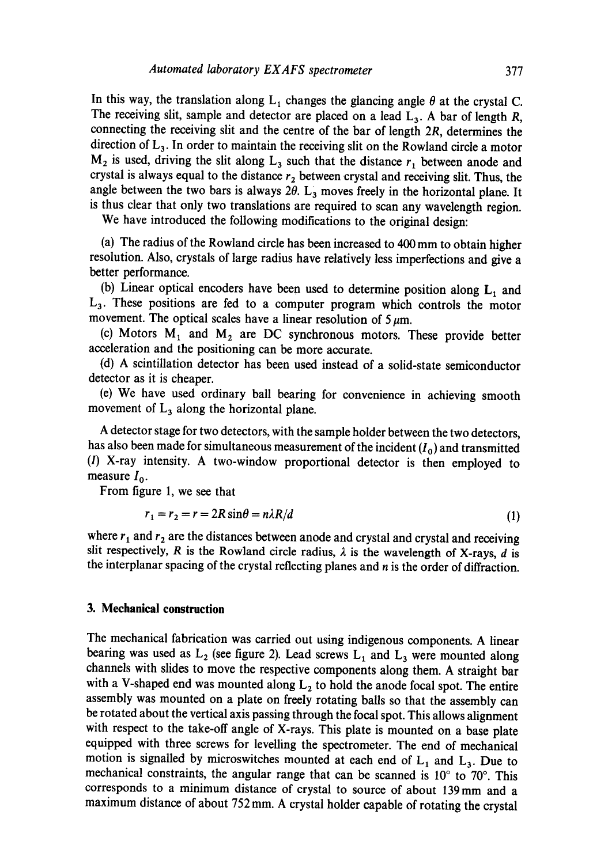In this way, the translation along  $L_1$  changes the glancing angle  $\theta$  at the crystal C. The receiving slit, sample and detector are placed on a lead  $L_3$ . A bar of length R, connecting the receiving slit and the centre of the bar of length 2R, determines the direction of  $L_3$ . In order to maintain the receiving slit on the Rowland circle a motor  $M_2$  is used, driving the slit along  $L_3$  such that the distance  $r_1$  between anode and crystal is always equal to the distance  $r_2$  between crystal and receiving slit. Thus, the angle between the two bars is always  $2\theta$ .  $L_3$  moves freely in the horizontal plane. It is thus clear that only two translations are required to scan any wavelength region.

We have introduced the following modifications to the original design:

(a) The radius of the Rowland circle has been increased to 400 mm to obtain higher resolution. Also, crystals of large radius have relatively less imperfections and give a better performance.

(b) Linear optical encoders have been used to determine position along  $L_1$  and  $L<sub>3</sub>$ . These positions are fed to a computer program which controls the motor movement. The optical scales have a linear resolution of  $5~\mu$ m.

(c) Motors  $M_1$  and  $M_2$  are DC synchronous motors. These provide better acceleration and the positioning can be more accurate.

(d) A scintillation detector has been used instead of a solid-state semiconductor detector as it is cheaper.

(e) We have used ordinary ball bearing for convenience in achieving smooth movement of  $L_3$  along the horizontal plane.

A detector stage for two detectors, with the sample holder between the two detectors, has also been made for simultaneous measurement of the incident  $(I_0)$  and transmitted (I) X-ray intensity. A two-window proportional detector is then employed to measure  $I_0$ .

From figure 1, we see that

$$
r_1 = r_2 = r = 2R\sin\theta = n\lambda R/d\tag{1}
$$

where  $r_1$  and  $r_2$  are the distances between anode and crystal and crystal and receiving slit respectively, R is the Rowland circle radius,  $\lambda$  is the wavelength of X-rays, d is the interplanar spacing of the crystal reflecting planes and  $n$  is the order of diffraction.

### **3. Mechanical construction**

The mechanical fabrication was carried out using indigenous components. A linear bearing was used as  $L_2$  (see figure 2). Lead screws  $L_1$  and  $L_3$  were mounted along channels with slides to move the respective components along them. A straight bar with a V-shaped end was mounted along  $L_2$  to hold the anode focal spot. The entire assembly was mounted on a plate on freely rotating balls so that the assembly can be rotated about the vertical axis passing through the focal spot. This allows alignment with respect to the take-off angle of X-rays. This plate is mounted on a base plate equipped with three screws for levelling the spectrometer. The end of mechanical motion is signalled by microswitches mounted at each end of  $L_1$  and  $L_3$ . Due to mechanical constraints, the angular range that can be scanned is  $10^{\circ}$  to  $70^{\circ}$ . This corresponds to a minimum distance of crystal to source of about 139mm and a maximum distance of about 752 mm. A crystal holder capable of rotating the crystal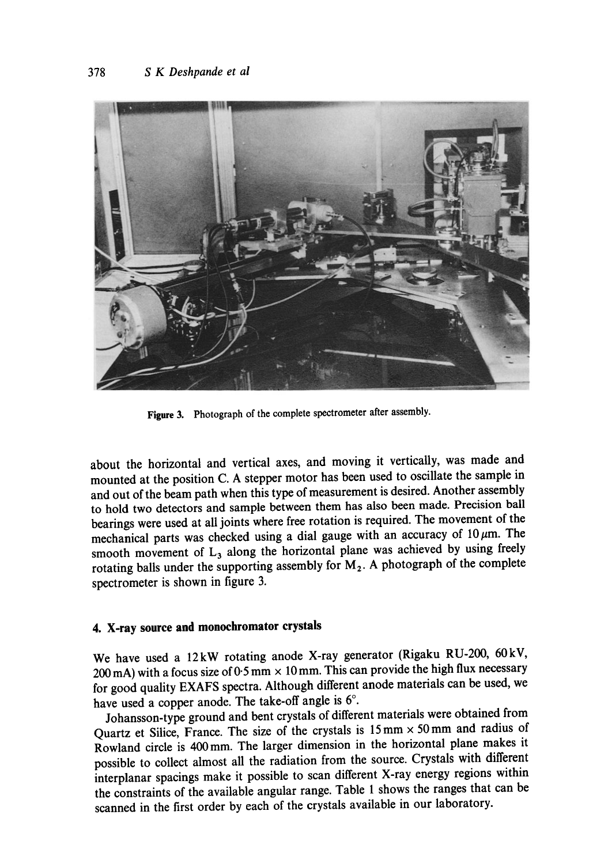

**Figure** 3. Photograph of the complete spectrometer after assembly.

about the horizontal and vertical axes, and moving it vertically, was made and mounted at the position C. A stepper motor has been used to oscillate the sample in and out of the beam path when this type of measurement is desired. Another assembly to hold two detectors and sample between them has also been made. Precision ball bearings were used at all joints where free rotation is required. The movement of the mechanical parts was checked using a dial gauge with an accuracy of  $10 \mu m$ . The smooth movement of  $L_3$  along the horizontal plane was achieved by using freely rotating balls under the supporting assembly for  $M_2$ . A photograph of the complete spectrometer is shown in figure 3.

## **4. X-ray source and monochromator crystals**

We have used a 12kW rotating anode X-ray generator (Rigaku RU-200, 60kV, 200 mA) with a focus size of 0.5 mm  $\times$  10 mm. This can provide the high flux necessary for good quality EXAFS spectra. Although different anode materials can be used, we have used a copper anode. The take-off angle is 6°.

Johansson-type ground and bent crystals of different materials were obtained from Quartz et Silice, France. The size of the crystals is  $15 \text{ mm} \times 50 \text{ mm}$  and radius of Rowland circle is 400mm. The larger dimension in the horizontal plane makes it possible to collect almost all the radiation from the source. Crystals with different interplanar spacings make it possible to scan different X-ray energy regions within the constraints of the available angular range. Table 1 shows the ranges that can be scanned in the first order by each of the crystals available in our laboratory.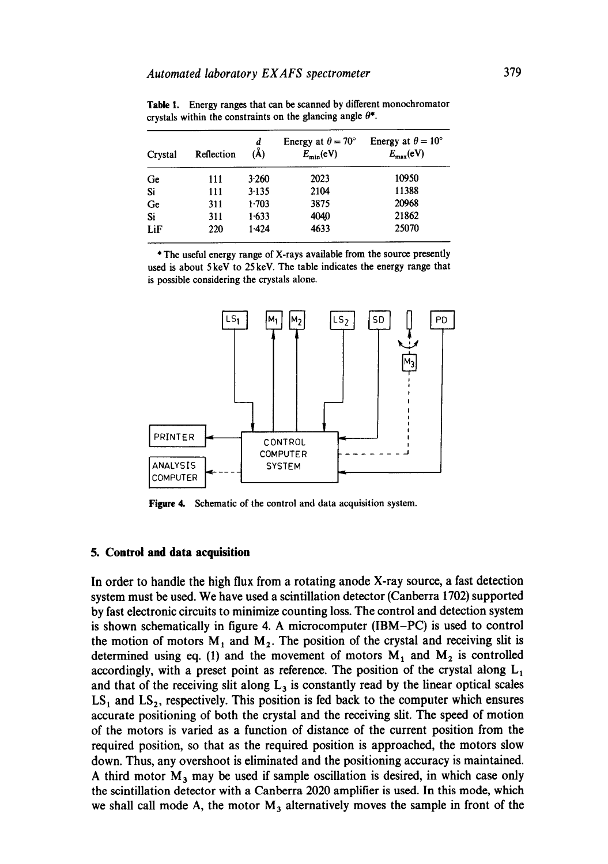| Crystal | Reflection | d<br>$(\AA)$ | Energy at $\theta = 70^{\circ}$<br>$E_{\rm min}$ (eV) | Energy at $\theta = 10^{\circ}$<br>$E_{\text{max}}(\text{eV})$ |
|---------|------------|--------------|-------------------------------------------------------|----------------------------------------------------------------|
| Ge      | 111        | 3.260        | 2023                                                  | 10950                                                          |
| Si      | 111        | $3-135$      | 2104                                                  | 11388                                                          |
| Ge      | 311        | 1.703        | 3875                                                  | 20968                                                          |
| Si      | 311        | 1.633        | 4040                                                  | 21862                                                          |
| LiF     | 220        | 1.424        | 4633                                                  | 25070                                                          |

Table 1. Energy ranges that can be scanned by different monochromator crystals within the constraints on the glancing angle  $\theta^*$ .

\* The useful energy range of X-rays available from the source presently used is about 5 keV to 25 keV. The table indicates the energy range that is possible considering the crystals alone.



Figure 4. Schematic of the control and data acquisition system.

#### **5. Control and data acquisition**

In order to handle the high flux from a rotating anode X-ray source, a fast detection system must be used. We have used a scintillation detector (Canberra 1702) supported by fast electronic circuits to minimize counting loss. The control and detection system is shown schematically in figure 4. A microcomputer (IBM-PC) is used to control the motion of motors  $M_1$  and  $M_2$ . The position of the crystal and receiving slit is determined using eq. (1) and the movement of motors  $M_1$  and  $M_2$  is controlled accordingly, with a preset point as reference. The position of the crystal along  $L_1$ and that of the receiving slit along  $L<sub>3</sub>$  is constantly read by the linear optical scales  $LS<sub>1</sub>$  and  $LS<sub>2</sub>$ , respectively. This position is fed back to the computer which ensures accurate positioning of both the crystal and the receiving slit. The speed of motion of the motors is varied as a function of distance of the current position from the required position, so that as the required position is approached, the motors slow down. Thus, any overshoot is eliminated and the positioning accuracy is maintained. A third motor  $M_3$  may be used if sample oscillation is desired, in which case only the scintillation detector with a Canberra 2020 amplifier is used. In this mode, which we shall call mode A, the motor  $M_3$  alternatively moves the sample in front of the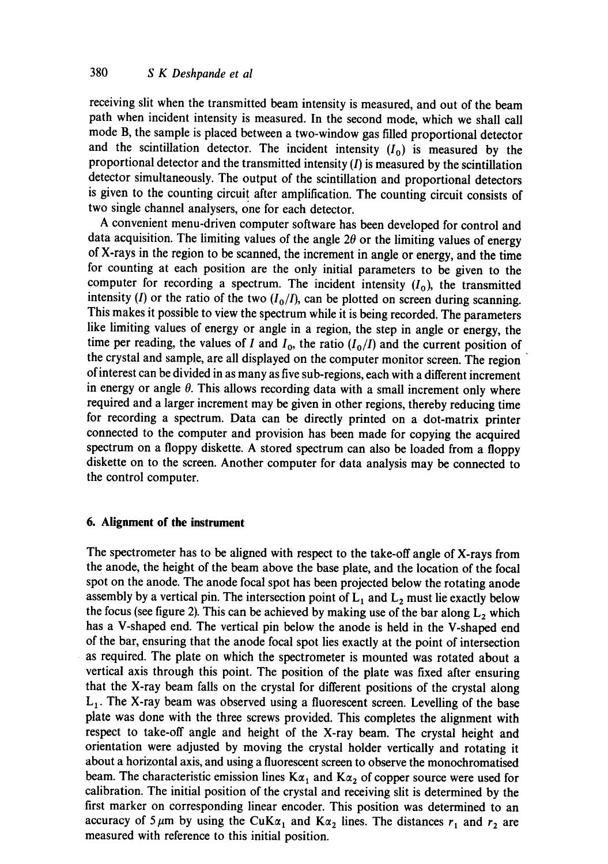receiving slit when the transmitted beam intensity is measured, and out of the beam path when incident intensity is measured. In the second mode, which we shall call mode B, the sample is placed between a two-window gas filled proportional detector and the scintillation detector. The incident intensity  $(I_0)$  is measured by the proportional detector and the transmitted intensity  $(I)$  is measured by the scintillation detector simultaneously. The output of the scintillation and proportional detectors is given to the counting circuit after amplification. The counting circuit consists of two single channel analysers, one for each detector.

A convenient menu-driven computer software has been developed for control and data acquisition. The limiting values of the angle  $2\theta$  or the limiting values of energy of X-rays in the region to be scanned, the increment in angle or energy, and the time for counting at each position are the only initial parameters to be given to the computer for recording a spectrum. The incident intensity  $(I_0)$ , the transmitted intensity (I) or the ratio of the two  $(I_0/I)$ , can be plotted on screen during scanning. This makes it possible to view the spectrum while it is being recorded. The parameters like limiting values of energy or angle in a region, the step in angle or energy, the time per reading, the values of I and  $I_0$ , the ratio  $(I_0/I)$  and the current position of the crystal and sample, are all displayed on the computer monitor screen. The region of interest can be divided in as many as five sub-regions, each with a different increment in energy or angle  $\theta$ . This allows recording data with a small increment only where required and a larger increment may be given in other regions, thereby reducing time for recording a spectrum. Data can be directly printed on a dot-matrix printer connected to the computer and provision has been made for copying the acquired spectrum on a floppy diskette. A stored spectrum can also be loaded from a floppy diskette on to the screen. Another computer for data analysis may be connected to the control computer.

## **6. Alignment of the instrument**

The spectrometer has to be aligned with respect to the take-off angle of X-rays from the anode, the height of the beam above the base plate, and the location of the focal spot on the anode. The anode focal spot has been projected below the rotating anode assembly by a vertical pin. The intersection point of  $L_1$  and  $L_2$  must lie exactly below the focus (see figure 2). This can be achieved by making use of the bar along  $L_2$  which has a V-shaped end. The vertical pin below the anode is held in the V-shaped end of the bar, ensuring that the anode focal spot lies exactly at the point of intersection as required. The plate on which the spectrometer is mounted was rotated about a vertical axis through this point. The position of the plate was fixed after ensuring that the X-ray beam falls on the crystal for different positions of the crystal along  $L_1$ . The X-ray beam was observed using a fluorescent screen. Levelling of the base plate was done with the three screws provided. This completes the alignment with respect to take-off angle and height of the X-ray beam. The crystal height and orientation were adjusted by moving the crystal holder vertically and rotating it about a horizontal axis, and using a fluorescent screen to observe the monochromatised beam. The characteristic emission lines  $K\alpha_1$  and  $K\alpha_2$  of copper source were used for calibration. The initial position of the crystal and receiving slit is determined by the first marker on corresponding linear encoder. This position was determined to an accuracy of 5  $\mu$ m by using the CuK $\alpha_1$  and K $\alpha_2$  lines. The distances  $r_1$  and  $r_2$  are measured with reference to this initial position.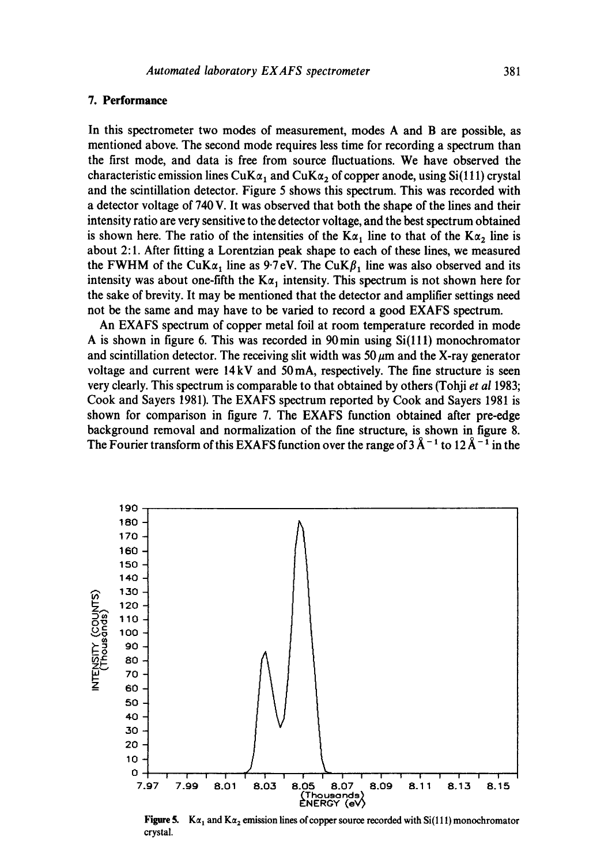## **7. Performance**

**In this spectrometer two modes of measurement, modes A and B are possible, as mentioned above. The second mode requires less time for recording a spectrum than the first mode, and data is free from source fluctuations. We have observed the**  characteristic emission lines  $CuK\alpha_1$  and  $CuK\alpha_2$  of copper anode, using Si(111) crystal **and the scintillation detector. Figure 5 shows this spectrum. This was recorded with a detector voltage of 740 V. It was observed that both the shape of the lines and their intensity ratio are very sensitive to the detector voltage, and the best spectrum obtained**  is shown here. The ratio of the intensities of the  $K\alpha_1$  line to that of the  $K\alpha_2$  line is **about 2:1. After fitting a Lorentzian peak shape to each of these lines, we measured**  the FWHM of the CuK $\alpha_1$  line as 9.7 eV. The CuK $\beta_1$  line was also observed and its intensity was about one-fifth the  $K\alpha_1$  intensity. This spectrum is not shown here for **the sake of brevity. It may be mentioned that the detector and amplifier settings need not be the same and may have to be varied to record a good EXAFS spectrum.** 

**An EXAFS spectrum of copper metal foil at room temperature recorded in mode A is shown in figure 6. This was recorded in 90min using Si(lll) monoehromator**  and scintillation detector. The receiving slit width was  $50 \mu m$  and the X-ray generator **voltage and current were 14 kV and 50mA, respectively. The fine structure is seen very clearly. This spectrum is comparable to that obtained by others (Tohii** *et al* **1983; Cook and Sayers 1981). The EXAFS spectrum reported by Cook and Sayers 1981 is shown for comparison in figure 7. The EXAFS function obtained after pre-edge background removal and normalization of the fine structure, is shown in figure 8.**  The Fourier transform of this EXAFS function over the range of  $3 \text{ Å}^{-1}$  to  $12 \text{ Å}^{-1}$  in the



**Figure 5.** K $\alpha_1$  and K $\alpha_2$  emission lines of copper source recorded with Si(111) monochromator **crystal.**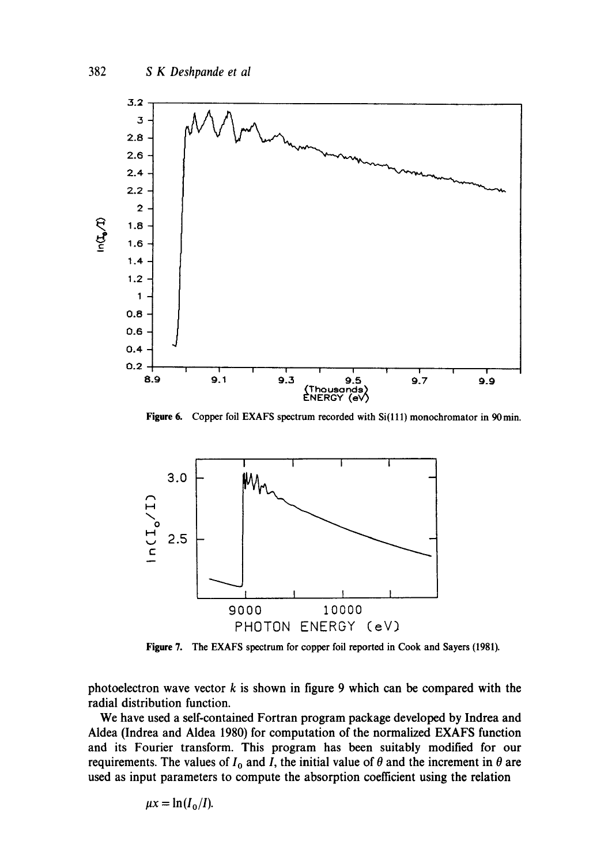

Figure 6. Copper foil EXAFS spectrum recorded with Si(111) monochromator in 90 min.



Figure 7. The EXAFS spectrum for copper foil reported in Cook and Sayers (1981).

photoelectron wave vector  $k$  is shown in figure 9 which can be compared with the radial distribution function.

We have used a self-contained Fortran program package developed by Indrea and Aldea (Indrea and Aldea 1980) for computation of the normalized EXAFS function and its Fourier transform. This program has been suitably modified for our requirements. The values of  $I_0$  and I, the initial value of  $\theta$  and the increment in  $\theta$  are used as input parameters to compute the absorption coefficient using the relation

$$
\mu x = \ln(I_0/I).
$$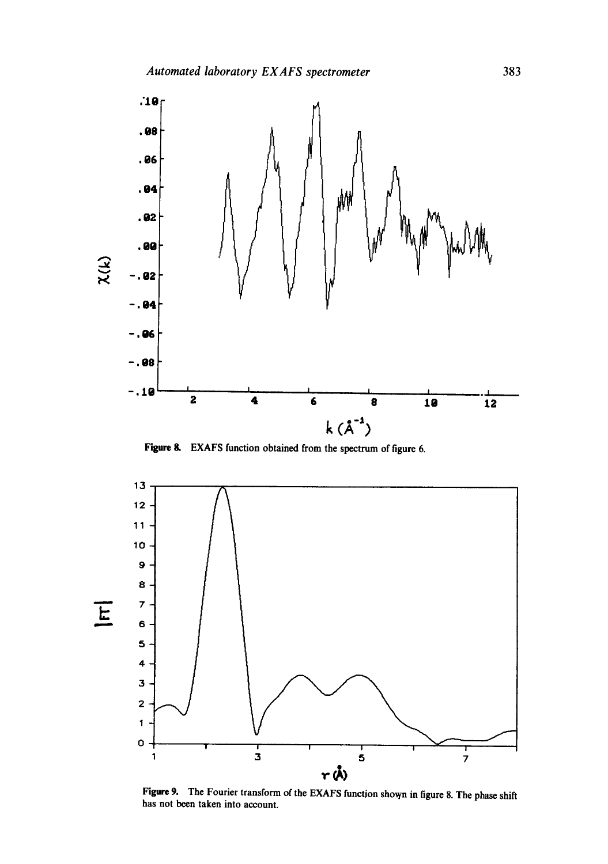

Figure 8. EXAFS function obtained from the spectrum of figure 6.



Figure 9. The Fourier transform of the EXAFS function shown in figure 8. The phase shift has not been taken into account.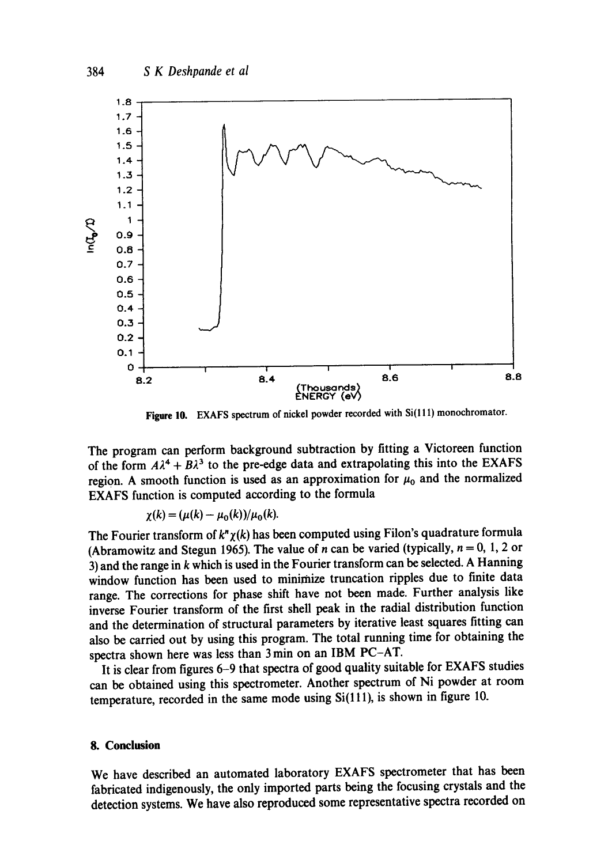

**Figure 10.** EXAFS spectrum of nickel powder recorded with Si(111) monochromator.

**The program can perform background subtraction by fitting a Victoreen function**  of the form  $A\lambda^4 + B\lambda^3$  to the pre-edge data and extrapolating this into the EXAFS region. A smooth function is used as an approximation for  $\mu_0$  and the normalized **EXAFS function is computed according to the formula** 

$$
\chi(k) = (\mu(k) - \mu_0(k))/\mu_0(k).
$$

The Fourier transform of  $k^n \chi(k)$  has been computed using Filon's quadrature formula (Abramowitz and Stegun 1965). The value of *n* can be varied (typically,  $n = 0, 1, 2$  or **3) and the range in k which is used in the Fourier transform can be selected. A Hanning window function has been used to minimize truncation ripples due to finite data range. The corrections for phase shift have not been made. Further analysis like inverse Fourier transform of the first shell peak in the radial distribution function and the determination of structural parameters by iterative least squares fitting can also be carried out by using this program. The total running time for obtaining the spectra shown here was less than 3 min on an IBM PC-AT.** 

**It is clear from figures 6-9 that spectra of good quality suitable for EXAFS studies can be obtained using this spectrometer. Another spectrum of Ni powder at room**  temperature, recorded in the same mode using Si(111), is shown in figure 10.

## **8. Conclusion**

**We have described an automated laboratory EXAFS spectrometer that has been fabricated indigenously, the only imported parts being the focusing crystals and the detection systems. We have also reproduced some representative spectra recorded on**